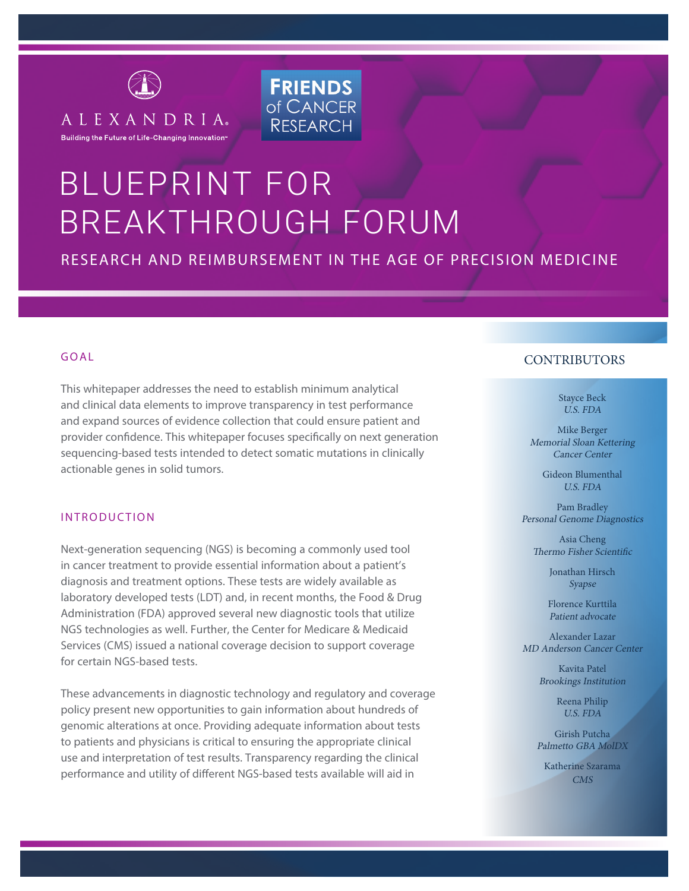

# BLUEPRINT FOR BREAKTHROUGH FORUM

# RESEARCH AND REIMBURSEMENT IN THE AGE OF PRECISION MEDICINE

**FRIENDS** of CANCER

**RESEARCH** 

#### GOAL

This whitepaper addresses the need to establish minimum analytical and clinical data elements to improve transparency in test performance and expand sources of evidence collection that could ensure patient and provider confidence. This whitepaper focuses specifically on next generation sequencing-based tests intended to detect somatic mutations in clinically actionable genes in solid tumors.

#### INTRODUCTION

Next-generation sequencing (NGS) is becoming a commonly used tool in cancer treatment to provide essential information about a patient's diagnosis and treatment options. These tests are widely available as laboratory developed tests (LDT) and, in recent months, the Food & Drug Administration (FDA) approved several new diagnostic tools that utilize NGS technologies as well. Further, the Center for Medicare & Medicaid Services (CMS) issued a national coverage decision to support coverage for certain NGS-based tests.

These advancements in diagnostic technology and regulatory and coverage policy present new opportunities to gain information about hundreds of genomic alterations at once. Providing adequate information about tests to patients and physicians is critical to ensuring the appropriate clinical use and interpretation of test results. Transparency regarding the clinical performance and utility of different NGS-based tests available will aid in

# **CONTRIBUTORS**

Stayce Beck U.S. FDA

Mike Berger Memorial Sloan Kettering Cancer Center

> Gideon Blumenthal U.S. FDA

Pam Bradley Personal Genome Diagnostics

Asia Cheng Thermo Fisher Scientific

> Jonathan Hirsch Syapse

Florence Kurttila Patient advocate

Alexander Lazar MD Anderson Cancer Center

> Kavita Patel Brookings Institution

> > Reena Philip U.S. FDA

Girish Putcha Palmetto GBA MolDX

Katherine Szarama CMS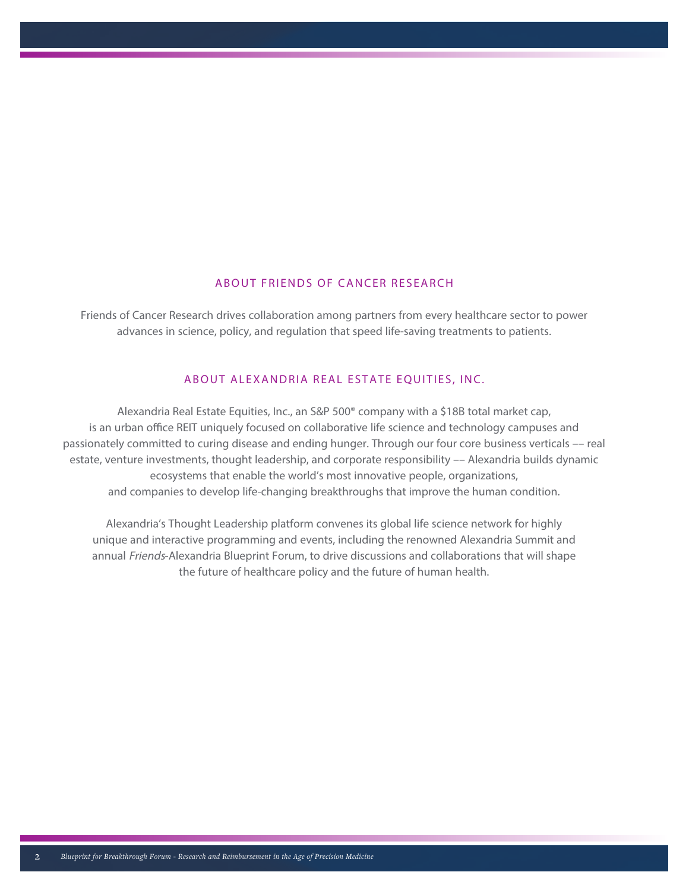## ABOUT FRIENDS OF CANCER RESEARCH

Friends of Cancer Research drives collaboration among partners from every healthcare sector to power advances in science, policy, and regulation that speed life-saving treatments to patients.

#### ABOUT ALEXANDRIA REAL ESTATE EQUITIES, INC.

Alexandria Real Estate Equities, Inc., an S&P 500® company with a \$18B total market cap, is an urban office REIT uniquely focused on collaborative life science and technology campuses and passionately committed to curing disease and ending hunger. Through our four core business verticals –– real estate, venture investments, thought leadership, and corporate responsibility –– Alexandria builds dynamic ecosystems that enable the world's most innovative people, organizations, and companies to develop life-changing breakthroughs that improve the human condition.

Alexandria's Thought Leadership platform convenes its global life science network for highly unique and interactive programming and events, including the renowned Alexandria Summit and annual Friends-Alexandria Blueprint Forum, to drive discussions and collaborations that will shape the future of healthcare policy and the future of human health.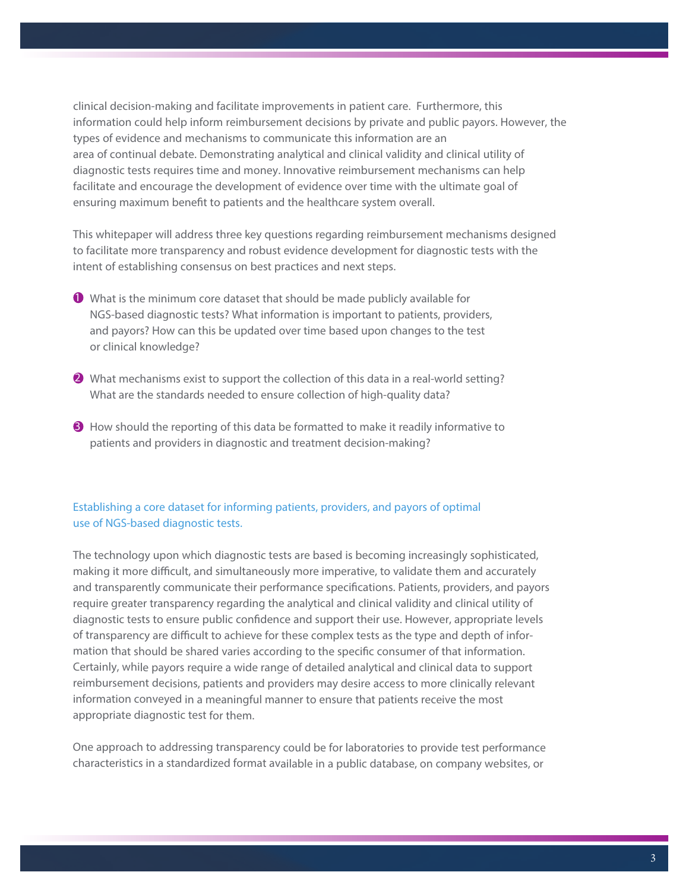clinical decision-making and facilitate improvements in patient care. Furthermore, this information could help inform reimbursement decisions by private and public payors. However, the types of evidence and mechanisms to communicate this information are an area of continual debate. Demonstrating analytical and clinical validity and clinical utility of diagnostic tests requires time and money. Innovative reimbursement mechanisms can help facilitate and encourage the development of evidence over time with the ultimate goal of ensuring maximum benefit to patients and the healthcare system overall.

This whitepaper will address three key questions regarding reimbursement mechanisms designed to facilitate more transparency and robust evidence development for diagnostic tests with the intent of establishing consensus on best practices and next steps.

- $\bullet$  What is the minimum core dataset that should be made publicly available for NGS-based diagnostic tests? What information is important to patients, providers, and payors? How can this be updated over time based upon changes to the test or clinical knowledge?
- $2$  What mechanisms exist to support the collection of this data in a real-world setting? What are the standards needed to ensure collection of high-quality data?
- $\Theta$  How should the reporting of this data be formatted to make it readily informative to patients and providers in diagnostic and treatment decision-making?

# Establishing a core dataset for informing patients, providers, and payors of optimal use of NGS-based diagnostic tests.

The technology upon which diagnostic tests are based is becoming increasingly sophisticated, making it more difficult, and simultaneously more imperative, to validate them and accurately and transparently communicate their performance specifications. Patients, providers, and payors require greater transparency regarding the analytical and clinical validity and clinical utility of diagnostic tests to ensure public confidence and support their use. However, appropriate levels of transparency are difficult to achieve for these complex tests as the type and depth of information that should be shared varies according to the specific consumer of that information. Certainly, while payors require a wide range of detailed analytical and clinical data to support reimbursement decisions, patients and providers may desire access to more clinically relevant information conveyed in a meaningful manner to ensure that patients receive the most appropriate diagnostic test for them.

One approach to addressing transparency could be for laboratories to provide test performance characteristics in a standardized format available in a public database, on company websites, or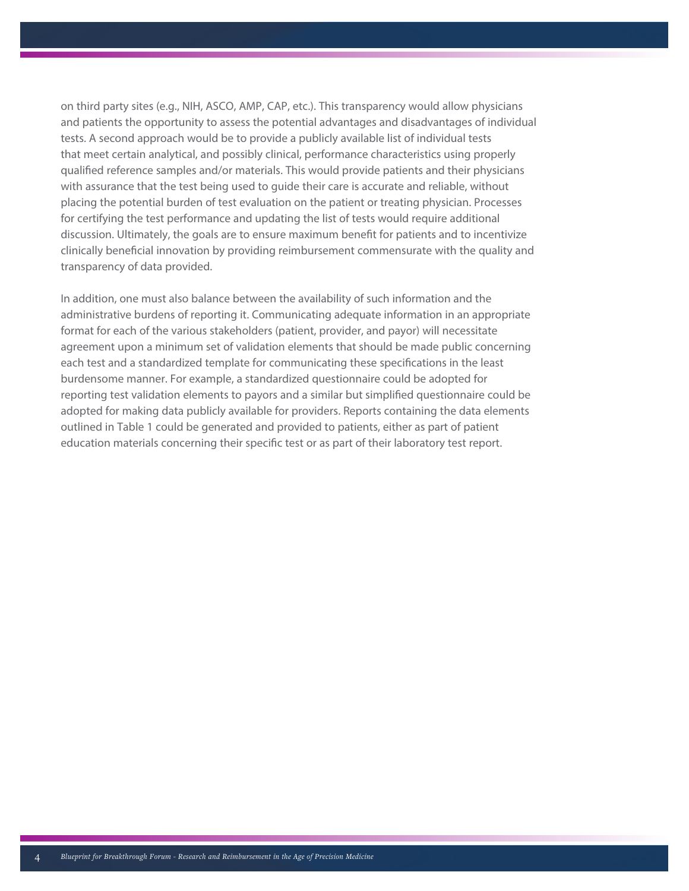on third party sites (e.g., NIH, ASCO, AMP, CAP, etc.). This transparency would allow physicians and patients the opportunity to assess the potential advantages and disadvantages of individual tests. A second approach would be to provide a publicly available list of individual tests that meet certain analytical, and possibly clinical, performance characteristics using properly qualified reference samples and/or materials. This would provide patients and their physicians with assurance that the test being used to guide their care is accurate and reliable, without placing the potential burden of test evaluation on the patient or treating physician. Processes for certifying the test performance and updating the list of tests would require additional discussion. Ultimately, the goals are to ensure maximum benefit for patients and to incentivize clinically beneficial innovation by providing reimbursement commensurate with the quality and transparency of data provided.

In addition, one must also balance between the availability of such information and the administrative burdens of reporting it. Communicating adequate information in an appropriate format for each of the various stakeholders (patient, provider, and payor) will necessitate agreement upon a minimum set of validation elements that should be made public concerning each test and a standardized template for communicating these specifications in the least burdensome manner. For example, a standardized questionnaire could be adopted for reporting test validation elements to payors and a similar but simplified questionnaire could be adopted for making data publicly available for providers. Reports containing the data elements outlined in Table 1 could be generated and provided to patients, either as part of patient education materials concerning their specific test or as part of their laboratory test report.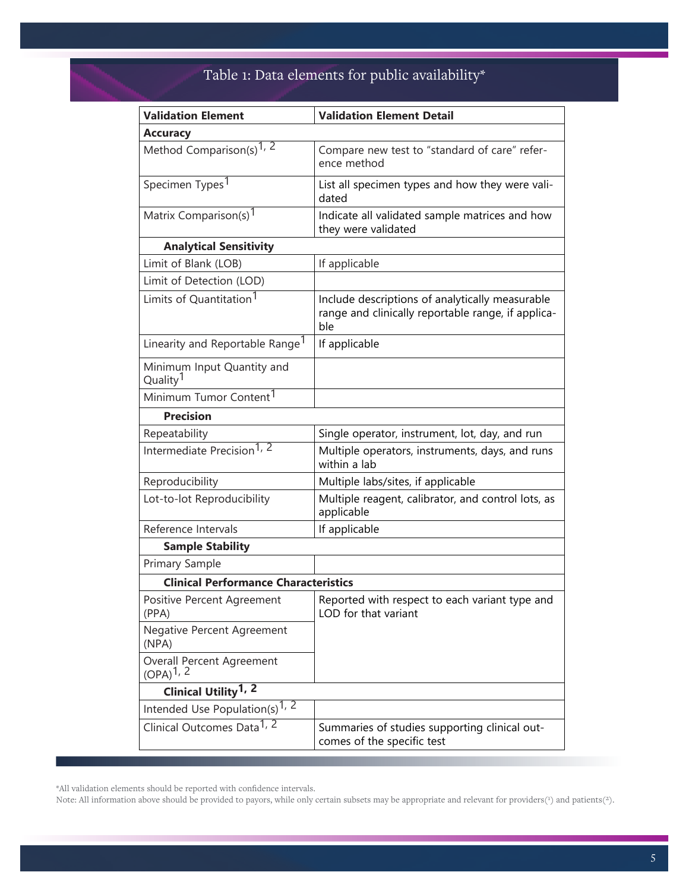# Table 1: Data elements for public availability\*

| <b>Validation Element</b>                                          | <b>Validation Element Detail</b>                                                                             |  |  |
|--------------------------------------------------------------------|--------------------------------------------------------------------------------------------------------------|--|--|
| <b>Accuracy</b>                                                    |                                                                                                              |  |  |
| Method Comparison(s) <sup>1, 2</sup>                               | Compare new test to "standard of care" refer-<br>ence method                                                 |  |  |
| Specimen Types <sup>1</sup>                                        | List all specimen types and how they were vali-<br>dated                                                     |  |  |
| Matrix Comparison(s) <sup>1</sup>                                  | Indicate all validated sample matrices and how<br>they were validated                                        |  |  |
| <b>Analytical Sensitivity</b>                                      |                                                                                                              |  |  |
| Limit of Blank (LOB)                                               | If applicable                                                                                                |  |  |
| Limit of Detection (LOD)                                           |                                                                                                              |  |  |
| Limits of Quantitation <sup>1</sup>                                | Include descriptions of analytically measurable<br>range and clinically reportable range, if applica-<br>ble |  |  |
| Linearity and Reportable Range <sup>1</sup>                        | If applicable                                                                                                |  |  |
| Minimum Input Quantity and<br>Quality <sup>1</sup>                 |                                                                                                              |  |  |
| Minimum Tumor Content <sup>1</sup>                                 |                                                                                                              |  |  |
| <b>Precision</b>                                                   |                                                                                                              |  |  |
| Repeatability                                                      | Single operator, instrument, lot, day, and run                                                               |  |  |
| Intermediate Precision <sup>1, 2</sup>                             | Multiple operators, instruments, days, and runs<br>within a lab                                              |  |  |
| Reproducibility                                                    | Multiple labs/sites, if applicable                                                                           |  |  |
| Lot-to-lot Reproducibility                                         | Multiple reagent, calibrator, and control lots, as<br>applicable                                             |  |  |
| Reference Intervals                                                | If applicable                                                                                                |  |  |
| <b>Sample Stability</b>                                            |                                                                                                              |  |  |
| Primary Sample                                                     |                                                                                                              |  |  |
| <b>Clinical Performance Characteristics</b>                        |                                                                                                              |  |  |
| Positive Percent Agreement<br>(PPA)                                | Reported with respect to each variant type and<br>LOD for that variant                                       |  |  |
| Negative Percent Agreement<br>(NPA)                                |                                                                                                              |  |  |
| Overall Percent Agreement<br>$(OPA)^{1, 2}$                        |                                                                                                              |  |  |
| Clinical Utility <sup>1, 2</sup>                                   |                                                                                                              |  |  |
| Intended Use Population(s) <sup>1, <math>\overline{2}</math></sup> |                                                                                                              |  |  |
| Clinical Outcomes Data <sup>1, 2</sup>                             | Summaries of studies supporting clinical out-<br>comes of the specific test                                  |  |  |

\*All validation elements should be reported with confidence intervals.

Note: All information above should be provided to payors, while only certain subsets may be appropriate and relevant for providers(1) and patients(2).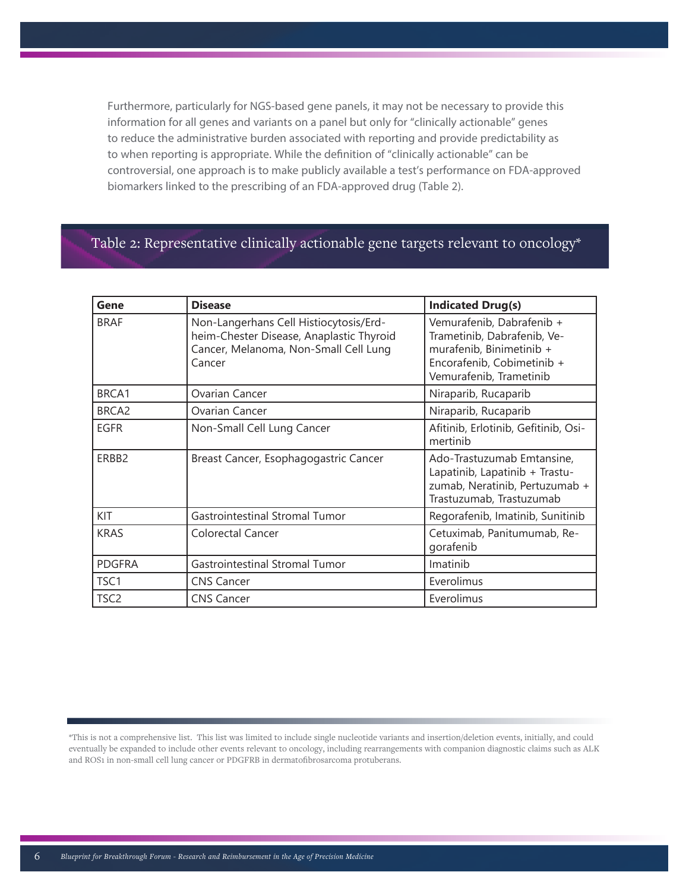Furthermore, particularly for NGS-based gene panels, it may not be necessary to provide this information for all genes and variants on a panel but only for "clinically actionable" genes to reduce the administrative burden associated with reporting and provide predictability as to when reporting is appropriate. While the definition of "clinically actionable" can be controversial, one approach is to make publicly available a test's performance on FDA-approved biomarkers linked to the prescribing of an FDA-approved drug (Table 2).

# Table 2: Representative clinically actionable gene targets relevant to oncology\*

| Gene              | <b>Disease</b>                                                                                                                        | <b>Indicated Drug(s)</b>                                                                                                                      |
|-------------------|---------------------------------------------------------------------------------------------------------------------------------------|-----------------------------------------------------------------------------------------------------------------------------------------------|
| <b>BRAF</b>       | Non-Langerhans Cell Histiocytosis/Erd-<br>heim-Chester Disease, Anaplastic Thyroid<br>Cancer, Melanoma, Non-Small Cell Lung<br>Cancer | Vemurafenib, Dabrafenib +<br>Trametinib, Dabrafenib, Ve-<br>murafenib, Binimetinib +<br>Encorafenib, Cobimetinib +<br>Vemurafenib, Trametinib |
| BRCA1             | Ovarian Cancer                                                                                                                        | Niraparib, Rucaparib                                                                                                                          |
| BRCA <sub>2</sub> | Ovarian Cancer                                                                                                                        | Niraparib, Rucaparib                                                                                                                          |
| <b>EGFR</b>       | Non-Small Cell Lung Cancer                                                                                                            | Afitinib, Erlotinib, Gefitinib, Osi-<br>mertinib                                                                                              |
| ERBB2             | Breast Cancer, Esophagogastric Cancer                                                                                                 | Ado-Trastuzumab Emtansine,<br>Lapatinib, Lapatinib + Trastu-<br>zumab, Neratinib, Pertuzumab +<br>Trastuzumab, Trastuzumab                    |
| KIT               | Gastrointestinal Stromal Tumor                                                                                                        | Regorafenib, Imatinib, Sunitinib                                                                                                              |
| <b>KRAS</b>       | Colorectal Cancer                                                                                                                     | Cetuximab, Panitumumab, Re-<br>gorafenib                                                                                                      |
| <b>PDGFRA</b>     | <b>Gastrointestinal Stromal Tumor</b>                                                                                                 | Imatinib                                                                                                                                      |
| TSC <sub>1</sub>  | <b>CNS Cancer</b>                                                                                                                     | Everolimus                                                                                                                                    |
| TSC <sub>2</sub>  | <b>CNS Cancer</b>                                                                                                                     | Everolimus                                                                                                                                    |

<sup>\*</sup>This is not a comprehensive list. This list was limited to include single nucleotide variants and insertion/deletion events, initially, and could eventually be expanded to include other events relevant to oncology, including rearrangements with companion diagnostic claims such as ALK and ROS1 in non-small cell lung cancer or PDGFRB in dermatofibrosarcoma protuberans.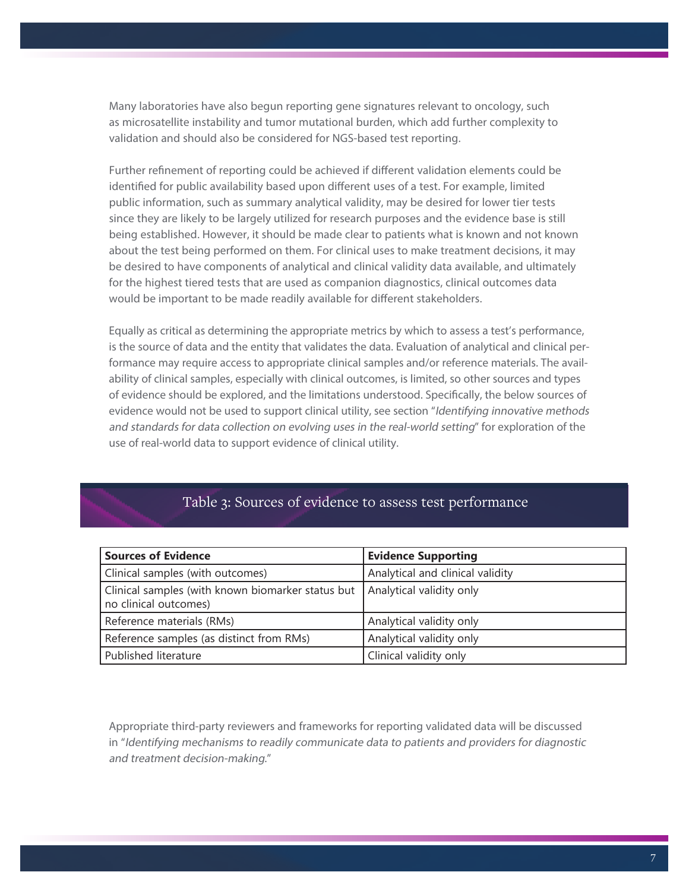Many laboratories have also begun reporting gene signatures relevant to oncology, such as microsatellite instability and tumor mutational burden, which add further complexity to validation and should also be considered for NGS-based test reporting.

Further refinement of reporting could be achieved if different validation elements could be identified for public availability based upon different uses of a test. For example, limited public information, such as summary analytical validity, may be desired for lower tier tests since they are likely to be largely utilized for research purposes and the evidence base is still being established. However, it should be made clear to patients what is known and not known about the test being performed on them. For clinical uses to make treatment decisions, it may be desired to have components of analytical and clinical validity data available, and ultimately for the highest tiered tests that are used as companion diagnostics, clinical outcomes data would be important to be made readily available for different stakeholders.

Equally as critical as determining the appropriate metrics by which to assess a test's performance, is the source of data and the entity that validates the data. Evaluation of analytical and clinical performance may require access to appropriate clinical samples and/or reference materials. The availability of clinical samples, especially with clinical outcomes, is limited, so other sources and types of evidence should be explored, and the limitations understood. Specifically, the below sources of evidence would not be used to support clinical utility, see section "Identifying innovative methods and standards for data collection on evolving uses in the real-world setting" for exploration of the use of real-world data to support evidence of clinical utility.

# Table 3: Sources of evidence to assess test performance

| <b>Sources of Evidence</b>                                                 | <b>Evidence Supporting</b>       |
|----------------------------------------------------------------------------|----------------------------------|
| Clinical samples (with outcomes)                                           | Analytical and clinical validity |
| Clinical samples (with known biomarker status but<br>no clinical outcomes) | Analytical validity only         |
| Reference materials (RMs)                                                  | Analytical validity only         |
| Reference samples (as distinct from RMs)                                   | Analytical validity only         |
| Published literature                                                       | Clinical validity only           |

Appropriate third-party reviewers and frameworks for reporting validated data will be discussed in "Identifying mechanisms to readily communicate data to patients and providers for diagnostic and treatment decision-making."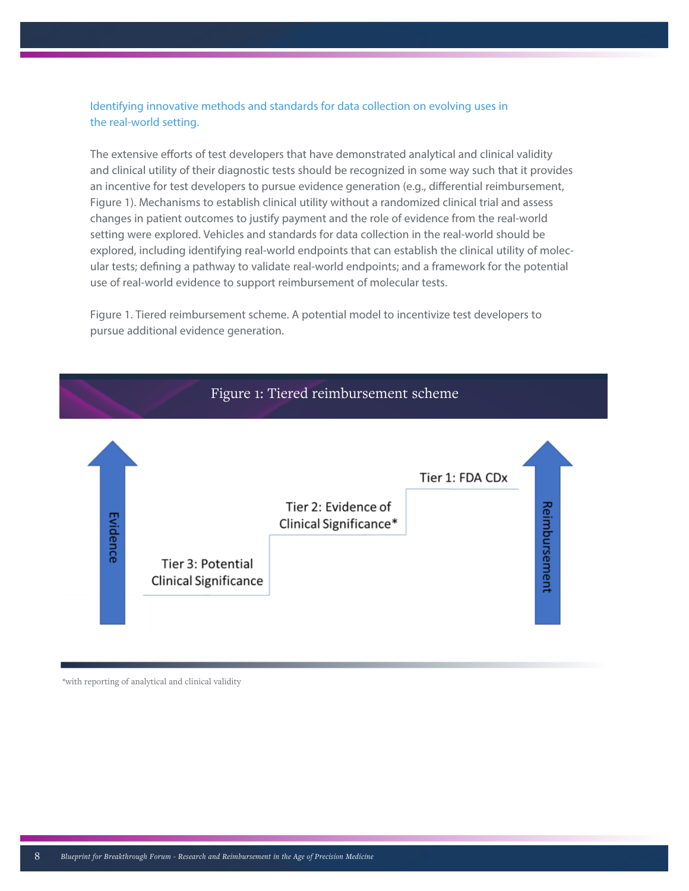# Identifying innovative methods and standards for data collection on evolving uses in the real-world setting.

The extensive efforts of test developers that have demonstrated analytical and clinical validity and clinical utility of their diagnostic tests should be recognized in some way such that it provides an incentive for test developers to pursue evidence generation (e.g., differential reimbursement, Figure 1). Mechanisms to establish clinical utility without a randomized clinical trial and assess changes in patient outcomes to justify payment and the role of evidence from the real-world setting were explored. Vehicles and standards for data collection in the real-world should be explored, including identifying real-world endpoints that can establish the clinical utility of molecular tests; defining a pathway to validate real-world endpoints; and a framework for the potential use of real-world evidence to support reimbursement of molecular tests.

Figure 1. Tiered reimbursement scheme. A potential model to incentivize test developers to pursue additional evidence generation.



\*with reporting of analytical and clinical validity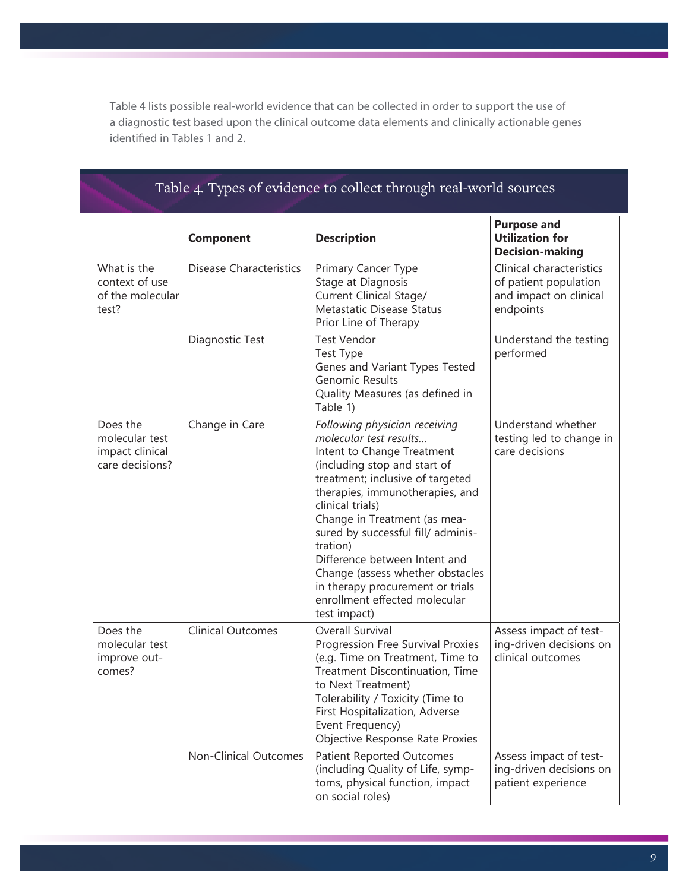Table 4 lists possible real-world evidence that can be collected in order to support the use of a diagnostic test based upon the clinical outcome data elements and clinically actionable genes identified in Tables 1 and 2.

# Table 4. Types of evidence to collect through real-world sources

|                                                                  | <b>Component</b>               | <b>Description</b>                                                                                                                                                                                                                                                                                                                                                                                                                                           | <b>Purpose and</b><br><b>Utilization for</b><br><b>Decision-making</b>                   |
|------------------------------------------------------------------|--------------------------------|--------------------------------------------------------------------------------------------------------------------------------------------------------------------------------------------------------------------------------------------------------------------------------------------------------------------------------------------------------------------------------------------------------------------------------------------------------------|------------------------------------------------------------------------------------------|
| What is the<br>context of use<br>of the molecular<br>test?       | <b>Disease Characteristics</b> | Primary Cancer Type<br>Stage at Diagnosis<br>Current Clinical Stage/<br>Metastatic Disease Status<br>Prior Line of Therapy                                                                                                                                                                                                                                                                                                                                   | Clinical characteristics<br>of patient population<br>and impact on clinical<br>endpoints |
|                                                                  | Diagnostic Test                | <b>Test Vendor</b><br>Test Type<br>Genes and Variant Types Tested<br>Genomic Results<br>Quality Measures (as defined in<br>Table 1)                                                                                                                                                                                                                                                                                                                          | Understand the testing<br>performed                                                      |
| Does the<br>molecular test<br>impact clinical<br>care decisions? | Change in Care                 | Following physician receiving<br>molecular test results<br>Intent to Change Treatment<br>(including stop and start of<br>treatment; inclusive of targeted<br>therapies, immunotherapies, and<br>clinical trials)<br>Change in Treatment (as mea-<br>sured by successful fill/ adminis-<br>tration)<br>Difference between Intent and<br>Change (assess whether obstacles<br>in therapy procurement or trials<br>enrollment effected molecular<br>test impact) | Understand whether<br>testing led to change in<br>care decisions                         |
| Does the<br>molecular test<br>improve out-<br>comes?             | <b>Clinical Outcomes</b>       | Overall Survival<br>Progression Free Survival Proxies<br>(e.g. Time on Treatment, Time to<br>Treatment Discontinuation, Time<br>to Next Treatment)<br>Tolerability / Toxicity (Time to<br>First Hospitalization, Adverse<br>Event Frequency)<br>Objective Response Rate Proxies                                                                                                                                                                              | Assess impact of test-<br>ing-driven decisions on<br>clinical outcomes                   |
|                                                                  | <b>Non-Clinical Outcomes</b>   | <b>Patient Reported Outcomes</b><br>(including Quality of Life, symp-<br>toms, physical function, impact<br>on social roles)                                                                                                                                                                                                                                                                                                                                 | Assess impact of test-<br>ing-driven decisions on<br>patient experience                  |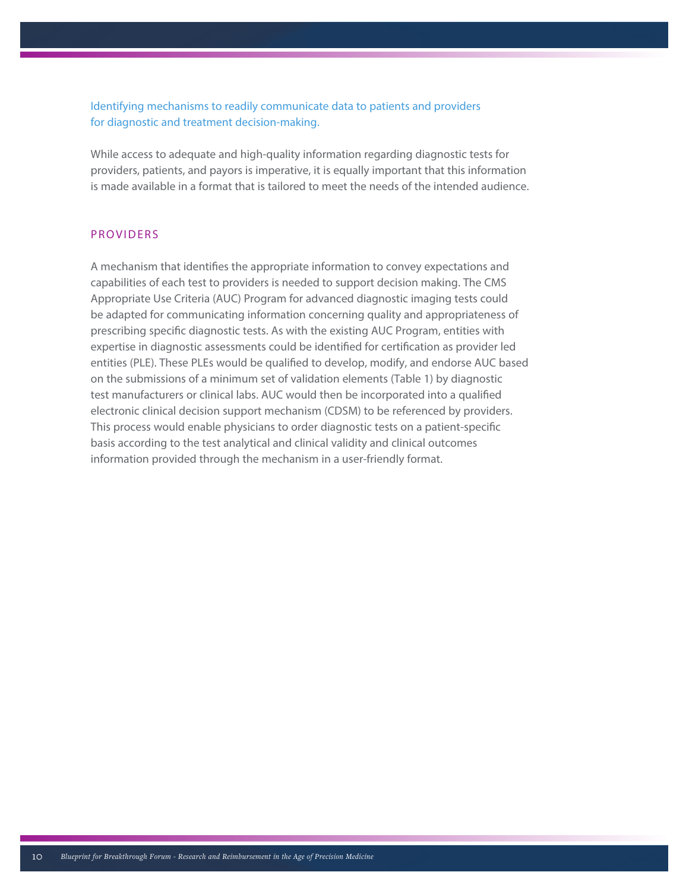Identifying mechanisms to readily communicate data to patients and providers for diagnostic and treatment decision-making.

While access to adequate and high-quality information regarding diagnostic tests for providers, patients, and payors is imperative, it is equally important that this information is made available in a format that is tailored to meet the needs of the intended audience.

## PROVIDERS

A mechanism that identifies the appropriate information to convey expectations and capabilities of each test to providers is needed to support decision making. The CMS Appropriate Use Criteria (AUC) Program for advanced diagnostic imaging tests could be adapted for communicating information concerning quality and appropriateness of prescribing specific diagnostic tests. As with the existing AUC Program, entities with expertise in diagnostic assessments could be identified for certification as provider led entities (PLE). These PLEs would be qualified to develop, modify, and endorse AUC based on the submissions of a minimum set of validation elements (Table 1) by diagnostic test manufacturers or clinical labs. AUC would then be incorporated into a qualified electronic clinical decision support mechanism (CDSM) to be referenced by providers. This process would enable physicians to order diagnostic tests on a patient-specific basis according to the test analytical and clinical validity and clinical outcomes information provided through the mechanism in a user-friendly format.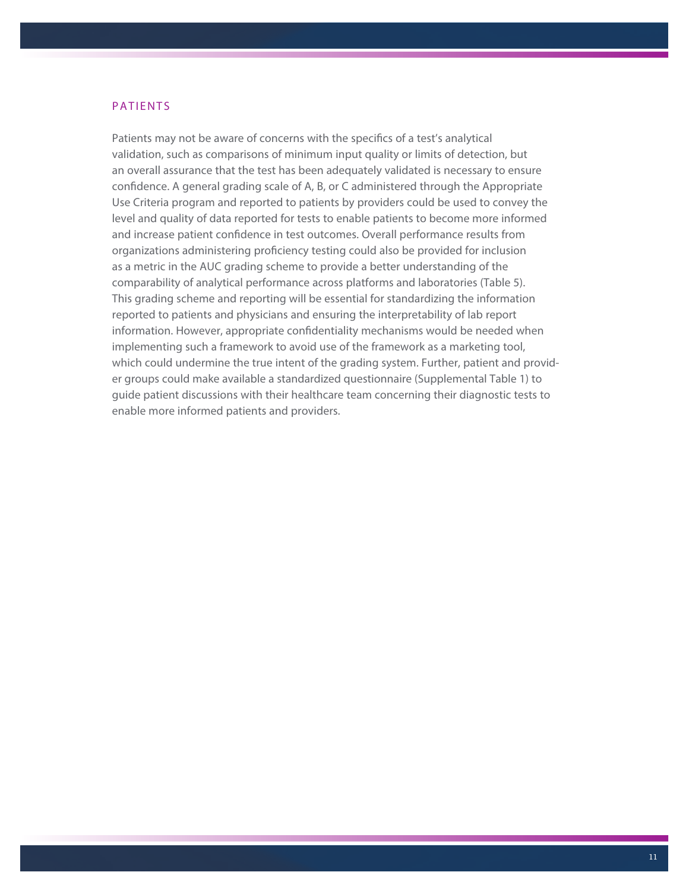#### PATIENTS

Patients may not be aware of concerns with the specifics of a test's analytical validation, such as comparisons of minimum input quality or limits of detection, but an overall assurance that the test has been adequately validated is necessary to ensure confidence. A general grading scale of A, B, or C administered through the Appropriate Use Criteria program and reported to patients by providers could be used to convey the level and quality of data reported for tests to enable patients to become more informed and increase patient confidence in test outcomes. Overall performance results from organizations administering proficiency testing could also be provided for inclusion as a metric in the AUC grading scheme to provide a better understanding of the comparability of analytical performance across platforms and laboratories (Table 5). This grading scheme and reporting will be essential for standardizing the information reported to patients and physicians and ensuring the interpretability of lab report information. However, appropriate confidentiality mechanisms would be needed when implementing such a framework to avoid use of the framework as a marketing tool, which could undermine the true intent of the grading system. Further, patient and provider groups could make available a standardized questionnaire (Supplemental Table 1) to guide patient discussions with their healthcare team concerning their diagnostic tests to enable more informed patients and providers.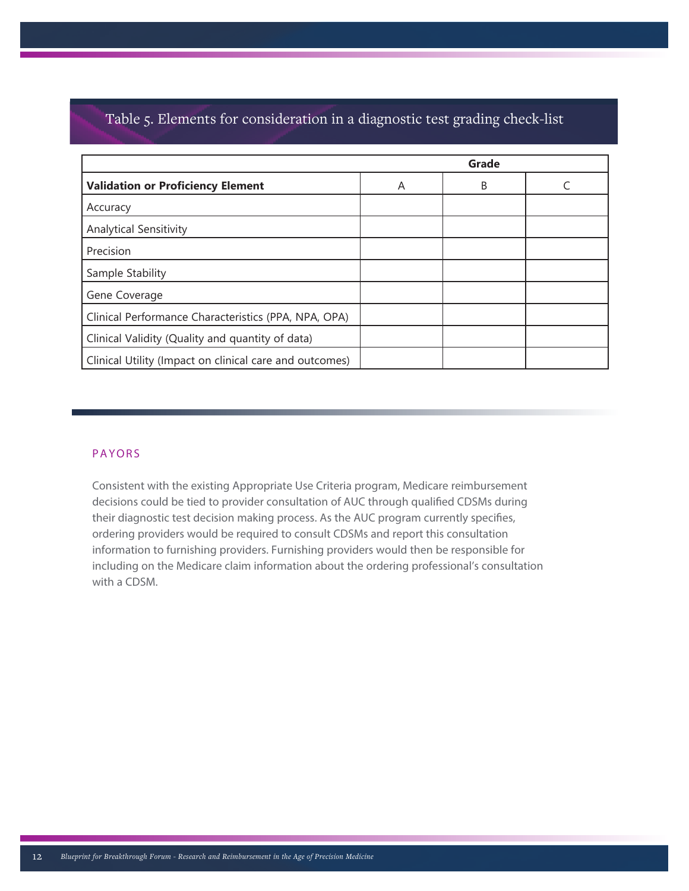# Table 5. Elements for consideration in a diagnostic test grading check-list

|                                                         |   | Grade |  |
|---------------------------------------------------------|---|-------|--|
| <b>Validation or Proficiency Element</b>                | A | B     |  |
| Accuracy                                                |   |       |  |
| <b>Analytical Sensitivity</b>                           |   |       |  |
| Precision                                               |   |       |  |
| Sample Stability                                        |   |       |  |
| Gene Coverage                                           |   |       |  |
| Clinical Performance Characteristics (PPA, NPA, OPA)    |   |       |  |
| Clinical Validity (Quality and quantity of data)        |   |       |  |
| Clinical Utility (Impact on clinical care and outcomes) |   |       |  |

# PAYORS

Consistent with the existing Appropriate Use Criteria program, Medicare reimbursement decisions could be tied to provider consultation of AUC through qualified CDSMs during their diagnostic test decision making process. As the AUC program currently specifies, ordering providers would be required to consult CDSMs and report this consultation information to furnishing providers. Furnishing providers would then be responsible for including on the Medicare claim information about the ordering professional's consultation with a CDSM.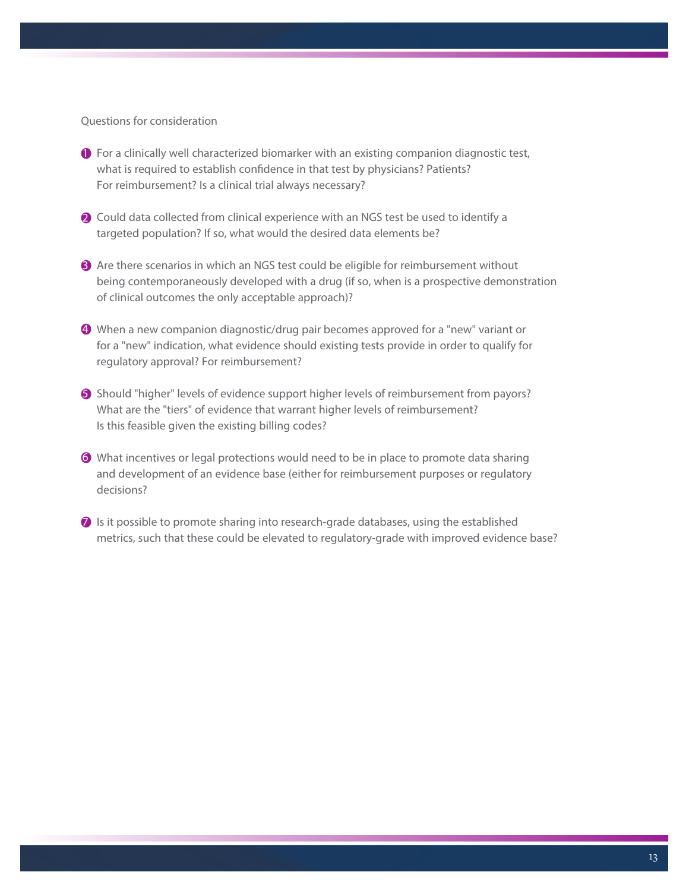Questions for consideration

- $\bullet$  For a clinically well characterized biomarker with an existing companion diagnostic test, what is required to establish confidence in that test by physicians? Patients? For reimbursement? Is a clinical trial always necessary?
- **2** Could data collected from clinical experience with an NGS test be used to identify a targeted population? If so, what would the desired data elements be?
- **3** Are there scenarios in which an NGS test could be eligible for reimbursement without being contemporaneously developed with a drug (if so, when is a prospective demonstration of clinical outcomes the only acceptable approach)?
- $\bm{9}$  When a new companion diagnostic/drug pair becomes approved for a "new" variant or for a "new" indication, what evidence should existing tests provide in order to qualify for regulatory approval? For reimbursement?
- **S** Should "higher" levels of evidence support higher levels of reimbursement from payors? What are the "tiers" of evidence that warrant higher levels of reimbursement? Is this feasible given the existing billing codes?
- $\bullet$  What incentives or legal protections would need to be in place to promote data sharing and development of an evidence base (either for reimbursement purposes or regulatory decisions?
- $\Omega$  Is it possible to promote sharing into research-grade databases, using the established metrics, such that these could be elevated to regulatory-grade with improved evidence base?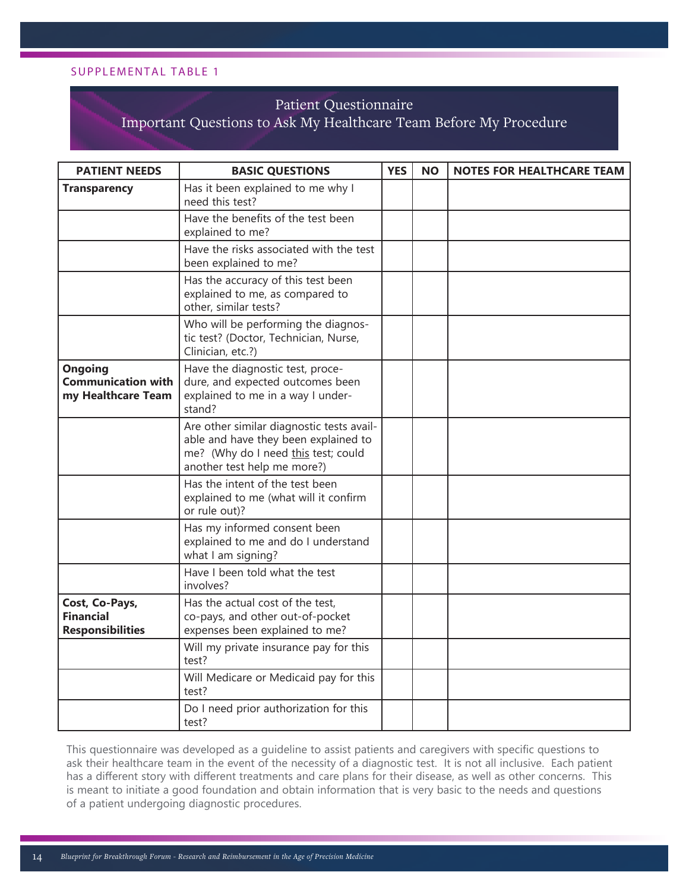#### SUPPLEMENTAL TABLE 1

# Patient Questionnaire

# Important Questions to Ask My Healthcare Team Before My Procedure

| <b>PATIENT NEEDS</b>                                          | <b>BASIC QUESTIONS</b>                                                                                                                                  | <b>YES</b> | <b>NO</b> | <b>NOTES FOR HEALTHCARE TEAM</b> |
|---------------------------------------------------------------|---------------------------------------------------------------------------------------------------------------------------------------------------------|------------|-----------|----------------------------------|
| <b>Transparency</b>                                           | Has it been explained to me why I<br>need this test?                                                                                                    |            |           |                                  |
|                                                               | Have the benefits of the test been<br>explained to me?                                                                                                  |            |           |                                  |
|                                                               | Have the risks associated with the test<br>been explained to me?                                                                                        |            |           |                                  |
|                                                               | Has the accuracy of this test been<br>explained to me, as compared to<br>other, similar tests?                                                          |            |           |                                  |
|                                                               | Who will be performing the diagnos-<br>tic test? (Doctor, Technician, Nurse,<br>Clinician, etc.?)                                                       |            |           |                                  |
| Ongoing<br><b>Communication with</b><br>my Healthcare Team    | Have the diagnostic test, proce-<br>dure, and expected outcomes been<br>explained to me in a way I under-<br>stand?                                     |            |           |                                  |
|                                                               | Are other similar diagnostic tests avail-<br>able and have they been explained to<br>me? (Why do I need this test; could<br>another test help me more?) |            |           |                                  |
|                                                               | Has the intent of the test been<br>explained to me (what will it confirm<br>or rule out)?                                                               |            |           |                                  |
|                                                               | Has my informed consent been<br>explained to me and do I understand<br>what I am signing?                                                               |            |           |                                  |
|                                                               | Have I been told what the test<br>involves?                                                                                                             |            |           |                                  |
| Cost, Co-Pays,<br><b>Financial</b><br><b>Responsibilities</b> | Has the actual cost of the test,<br>co-pays, and other out-of-pocket<br>expenses been explained to me?                                                  |            |           |                                  |
|                                                               | Will my private insurance pay for this<br>test?                                                                                                         |            |           |                                  |
|                                                               | Will Medicare or Medicaid pay for this<br>test?                                                                                                         |            |           |                                  |
|                                                               | Do I need prior authorization for this<br>test?                                                                                                         |            |           |                                  |

This questionnaire was developed as a guideline to assist patients and caregivers with specific questions to ask their healthcare team in the event of the necessity of a diagnostic test. It is not all inclusive. Each patient has a different story with different treatments and care plans for their disease, as well as other concerns. This is meant to initiate a good foundation and obtain information that is very basic to the needs and questions of a patient undergoing diagnostic procedures.